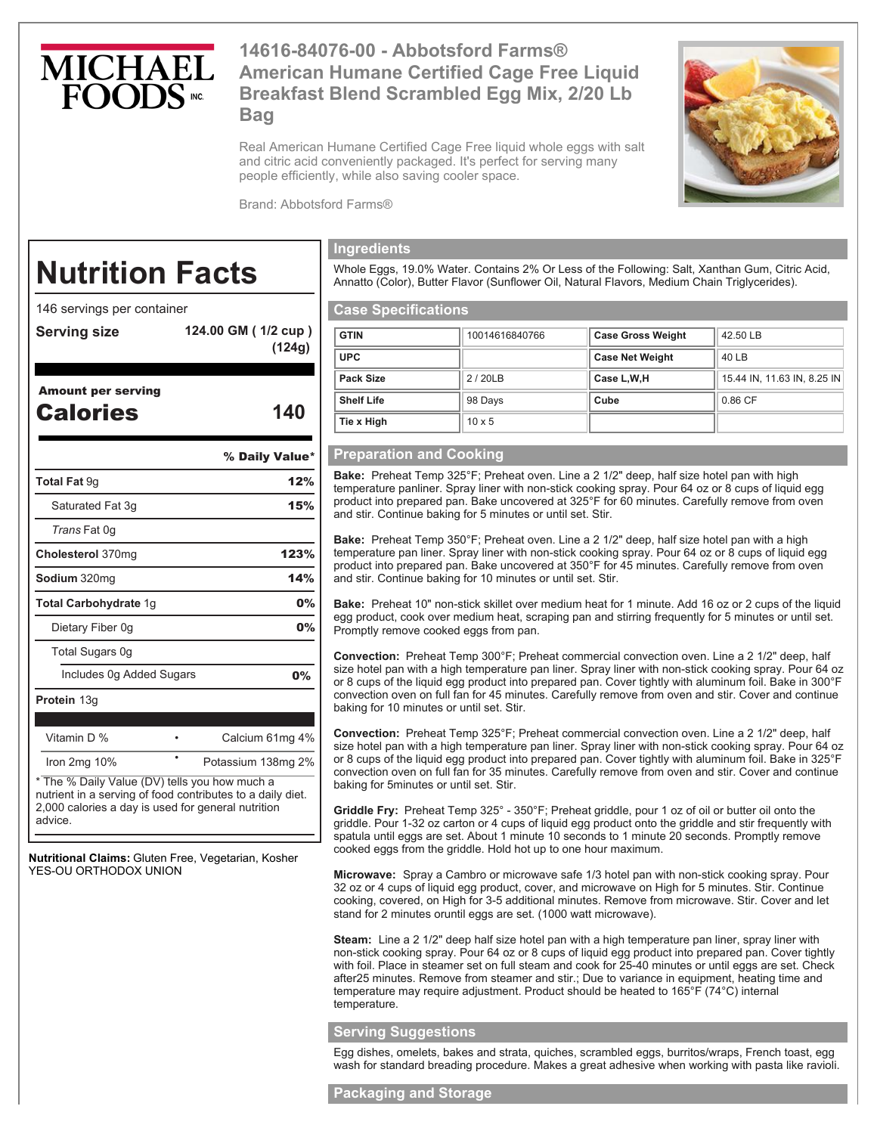

# **14616-84076-00 - Abbotsford Farms® American Humane Certified Cage Free Liquid Breakfast Blend Scrambled Egg Mix, 2/20 Lb Bag**

Real American Humane Certified Cage Free liquid whole eggs with salt and citric acid conveniently packaged. It's perfect for serving many people efficiently, while also saving cooler space.



Brand: Abbotsford Farms®

# **Nutrition Facts**

146 servings per container

**Serving size 124.00 GM ( 1/2 cup )**

**(124g)** 

# Amount per serving

| Amount per serving<br><b>Calories</b> | 140            |
|---------------------------------------|----------------|
|                                       | % Daily Value* |
| <b>Total Fat 9g</b>                   | 12%            |
| Saturated Fat 3g                      | 15%            |
| Trans Fat 0q                          |                |
| Cholesterol 370mg                     | 123%           |
| <b>Sodium</b> 320mg                   | 14%            |
| <b>Total Carbohydrate 1g</b>          | 0%             |
| Dietary Fiber 0g                      | $0\%$          |
| Total Sugars 0g                       |                |
| Includes 0g Added Sugars              | 0%             |

**Protein** 13g Vitamin D % • Calcium 61mg 4% Iron 2mg 10% <sup>•</sup> Potassium 138mg 2%

\* The % Daily Value (DV) tells you how much a nutrient in a serving of food contributes to a daily diet. 2,000 calories a day is used for general nutrition advice.

**Nutritional Claims:** Gluten Free, Vegetarian, Kosher YES-OU ORTHODOX UNION

# **Ingredients**

Whole Eggs, 19.0% Water. Contains 2% Or Less of the Following: Salt, Xanthan Gum, Citric Acid, Annatto (Color), Butter Flavor (Sunflower Oil, Natural Flavors, Medium Chain Triglycerides).

### **Case Specifications**

| <b>GTIN</b>       | 10014616840766 | <b>Case Gross Weight</b> | 42.50 LB                    |
|-------------------|----------------|--------------------------|-----------------------------|
| <b>UPC</b>        |                | <b>Case Net Weight</b>   | 40 LB                       |
| Pack Size         | 2/20LB         | Case L.W.H               | 15.44 IN, 11.63 IN, 8.25 IN |
| <b>Shelf Life</b> | 98 Days        | Cube                     | 0.86 CF                     |
| Tie x High        | $10 \times 5$  |                          |                             |

#### **Preparation and Cooking**

**Bake:** Preheat Temp 325°F; Preheat oven. Line a 2 1/2" deep, half size hotel pan with high temperature panliner. Spray liner with non-stick cooking spray. Pour 64 oz or 8 cups of liquid egg product into prepared pan. Bake uncovered at 325°F for 60 minutes. Carefully remove from oven and stir. Continue baking for 5 minutes or until set. Stir.

**Bake:** Preheat Temp 350°F; Preheat oven. Line a 2 1/2" deep, half size hotel pan with a high temperature pan liner. Spray liner with non-stick cooking spray. Pour 64 oz or 8 cups of liquid egg product into prepared pan. Bake uncovered at 350°F for 45 minutes. Carefully remove from oven and stir. Continue baking for 10 minutes or until set. Stir.

**Bake:** Preheat 10" non-stick skillet over medium heat for 1 minute. Add 16 oz or 2 cups of the liquid egg product, cook over medium heat, scraping pan and stirring frequently for 5 minutes or until set. Promptly remove cooked eggs from pan.

**Convection:** Preheat Temp 300°F; Preheat commercial convection oven. Line a 2 1/2" deep, half size hotel pan with a high temperature pan liner. Spray liner with non-stick cooking spray. Pour 64 oz or 8 cups of the liquid egg product into prepared pan. Cover tightly with aluminum foil. Bake in 300°F convection oven on full fan for 45 minutes. Carefully remove from oven and stir. Cover and continue baking for 10 minutes or until set. Stir.

**Convection:** Preheat Temp 325°F; Preheat commercial convection oven. Line a 2 1/2" deep, half size hotel pan with a high temperature pan liner. Spray liner with non-stick cooking spray. Pour 64 oz or 8 cups of the liquid egg product into prepared pan. Cover tightly with aluminum foil. Bake in 325°F convection oven on full fan for 35 minutes. Carefully remove from oven and stir. Cover and continue baking for 5minutes or until set. Stir.

**Griddle Fry:** Preheat Temp 325° - 350°F; Preheat griddle, pour 1 oz of oil or butter oil onto the griddle. Pour 1-32 oz carton or 4 cups of liquid egg product onto the griddle and stir frequently with spatula until eggs are set. About 1 minute 10 seconds to 1 minute 20 seconds. Promptly remove cooked eggs from the griddle. Hold hot up to one hour maximum.

**Microwave:** Spray a Cambro or microwave safe 1/3 hotel pan with non-stick cooking spray. Pour 32 oz or 4 cups of liquid egg product, cover, and microwave on High for 5 minutes. Stir. Continue cooking, covered, on High for 3-5 additional minutes. Remove from microwave. Stir. Cover and let stand for 2 minutes oruntil eggs are set. (1000 watt microwave).

**Steam:** Line a 2 1/2" deep half size hotel pan with a high temperature pan liner, spray liner with non-stick cooking spray. Pour 64 oz or 8 cups of liquid egg product into prepared pan. Cover tightly with foil. Place in steamer set on full steam and cook for 25-40 minutes or until eggs are set. Check after25 minutes. Remove from steamer and stir.; Due to variance in equipment, heating time and temperature may require adjustment. Product should be heated to 165°F (74°C) internal temperature.

#### **Serving Suggestions**

Egg dishes, omelets, bakes and strata, quiches, scrambled eggs, burritos/wraps, French toast, egg wash for standard breading procedure. Makes a great adhesive when working with pasta like ravioli.

#### **Packaging and Storage**